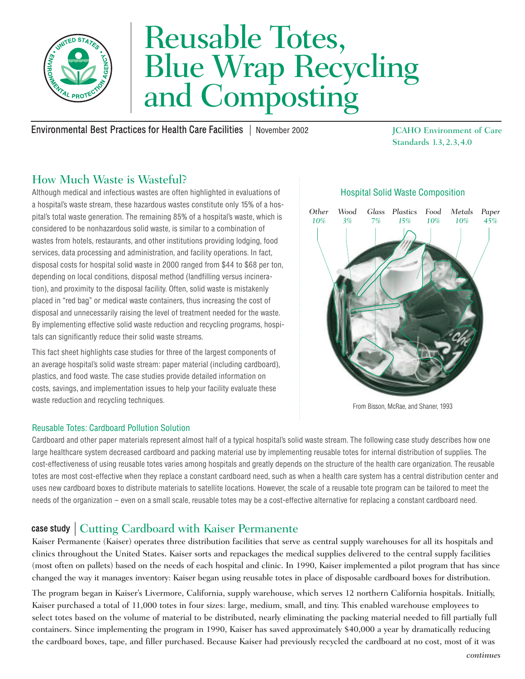

# Reusable Totes,<br>Blue Wrap Recycling and Composting

Environmental Best Practices for Health Care Facilities | November 2002 JCAHO Environment of Care

Standards 1.3, 2.3,4.0

# How Much Waste is Wasteful?

Although medical and infectious wastes are often highlighted in evaluations of Hospital Solid Waste Composition a hospital's waste stream, these hazardous wastes constitute only 15% of a hospital's total waste generation. The remaining 85% of a hospital's waste, which is **Other** pital's total waste generation. The remaining 85% of a hospital's waste, which is considered to be nonhazardous solid waste, is similar to a combination of wastes from hotels, restaurants, and other institutions providing lodging, food services, data processing and administration, and facility operations. In fact, disposal costs for hospital solid waste in 2000 ranged from \$44 to \$68 per ton, depending on local conditions, disposal method (landfilling versus incineration), and proximity to the disposal facility. Often, solid waste is mistakenly placed in "red bag" or medical waste containers, thus increasing the cost of disposal and unnecessarily raising the level of treatment needed for the waste. By implementing effective solid waste reduction and recycling programs, hospitals can significantly reduce their solid waste streams.

This fact sheet highlights case studies for three of the largest components of an average hospital's solid waste stream: paper material (including cardboard), plastics, and food waste. The case studies provide detailed information on costs, savings, and implementation issues to help your facility evaluate these waste reduction and recycling techniques.

## *10% Wood 3% Glass Plastics Food 7% 15% 10% Metals 10% Paper 45%*

From Bisson, McRae, and Shaner, 1993

## Reusable Totes: Cardboard Pollution Solution

Cardboard and other paper materials represent almost half of a typical hospital's solid waste stream. The following case study describes how one large healthcare system decreased cardboard and packing material use by implementing reusable totes for internal distribution of supplies. The cost-effectiveness of using reusable totes varies among hospitals and greatly depends on the structure of the health care organization. The reusable totes are most cost-effective when they replace a constant cardboard need, such as when a health care system has a central distribution center and uses new cardboard boxes to distribute materials to satellite locations. However, the scale of a reusable tote program can be tailored to meet the needs of the organization – even on a small scale, reusable totes may be a cost-effective alternative for replacing a constant cardboard need.

# case study case study | Cutting Cardboard with Kaiser Permanente

Kaiser Permanente (Kaiser) operates three distribution facilities that serve as central supply warehouses for all its hospitals and clinics throughout the United States. Kaiser sorts and repackages the medical supplies delivered to the central supply facilities (most often on pallets) based on the needs of each hospital and clinic. In 1990, Kaiser implemented a pilot program that has since changed the way it manages inventory: Kaiser began using reusable totes in place of disposable cardboard boxes for distribution.

The program began in Kaiser's Livermore, California, supply warehouse, which serves 12 northern California hospitals. Initially, Kaiser purchased a total of 11,000 totes in four sizes: large, medium, small, and tiny. This enabled warehouse employees to select totes based on the volume of material to be distributed, nearly eliminating the packing material needed to fill partially full containers. Since implementing the program in 1990, Kaiser has saved approximately \$40,000 a year by dramatically reducing the cardboard boxes, tape, and filler purchased. Because Kaiser had previously recycled the cardboard at no cost, most of it was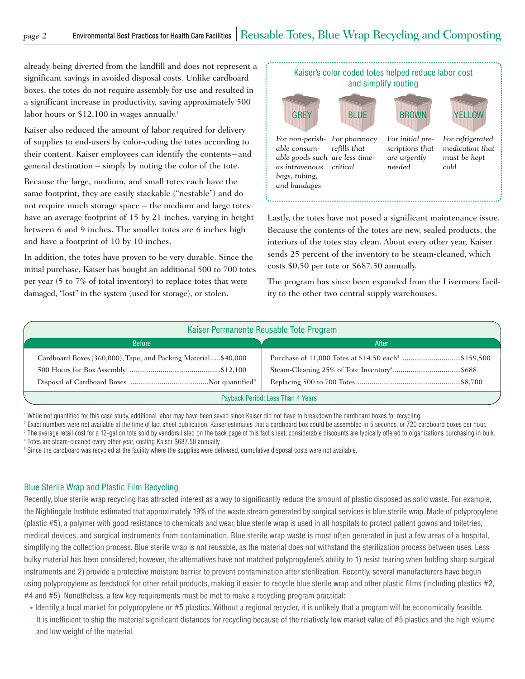already being diverted from the landfill and does not represent a significant savings in avoided disposal costs. Unlike cardboard boxes, the totes do not require assembly for use and resulted in a significant increase in productivity, saving approximately 500 labor hours or \$12,100 in wages annually. 1

Kaiser also reduced the amount of labor required for delivery of supplies to end-users by color-coding the totes according to their content. Kaiser employees can identify the contents– and general destination – simply by noting the color of the tote.

Because the large, medium, and small totes each have the same footprint, they are easily stackable ("nestable") and do not require much storage space – the medium and large totes have an average footprint of 15 by 21 inches, varying in height between 6 and 9 inches. The smaller totes are 6 inches high and have a footprint of 10 by 10 inches.

In addition, the totes have proven to be very durable. Since the initial purchase, Kaiser has bought an additional 500 to 700 totes per year (5 to 7% of total inventory) to replace totes that were damaged, "lost" in the system (used for storage), or stolen.



Lastly, the totes have not posed a significant maintenance issue. Because the contents of the totes are new, sealed products, the interiors of the totes stay clean. About every other year, Kaiser sends 25 percent of the inventory to be steam-cleaned, which costs \$0.50 per tote or \$687.50 annually.

The program has since been expanded from the Livermore facility to the other two central supply warehouses.

| Kaiser Permanente Reusable Tote Program                       |       |
|---------------------------------------------------------------|-------|
| <b>Before</b>                                                 | After |
| Cardboard Boxes (360,000), Tape, and Packing Material\$40,000 |       |
| Payback Period: Less Than 4 Years                             |       |

1 While not quantified for this case study, additional labor may have been saved since Kaiser did not have to breakdown the cardboard boxes for recycling.

<sup>2</sup> Exact numbers were not available at the time of fact sheet publication. Kaiser estimates that a cardboard box could be assembled in 5 seconds, or 720 cardboard boxes per hour.

<sup>3</sup> The average retail cost for a 12-gallon tote sold by vendors listed on the back page of this fact sheet; considerable discounts are typically offered to organizations purchasing in bulk.

4 Totes are steam-cleaned every other year, costing Kaiser \$687.50 annually

<sup>5</sup> Since the cardboard was recycled at the facility where the supplies were delivered, cumulative disposal costs were not available.

#### Blue Sterile Wrap and Plastic Film Recycling

Recently, blue sterile wrap recycling has attracted interest as a way to significantly reduce the amount of plastic disposed as solid waste. For example, the Nightingale Institute estimated that approximately 19% of the waste stream generated by surgical services is blue sterile wrap. Made of polypropylene (plastic #5), a polymer with good resistance to chemicals and wear, blue sterile wrap is used in all hospitals to protect patient gowns and toiletries, medical devices, and surgical instruments from contamination. Blue sterile wrap waste is most often generated in just a few areas of a hospital, simplifying the collection process. Blue sterile wrap is not reusable, as the material does not withstand the sterilization process between uses. Less bulky material has been considered; however, the alternatives have not matched polypropylene's ability to 1) resist tearing when holding sharp surgical instruments and 2) provide a protective moisture barrier to prevent contamination after sterilization. Recently, several manufacturers have begun using polypropylene as feedstock for other retail products, making it easier to recycle blue sterile wrap and other plastic films (including plastics #2, #4 and #5). Nonetheless, a few key requirements must be met to make a recycling program practical:

• Identify a local market for polypropylene or #5 plastics. Without a regional recycler, it is unlikely that a program will be economically feasible. It is inefficient to ship the material significant distances for recycling because of the relatively low market value of #5 plastics and the high volume and low weight of the material.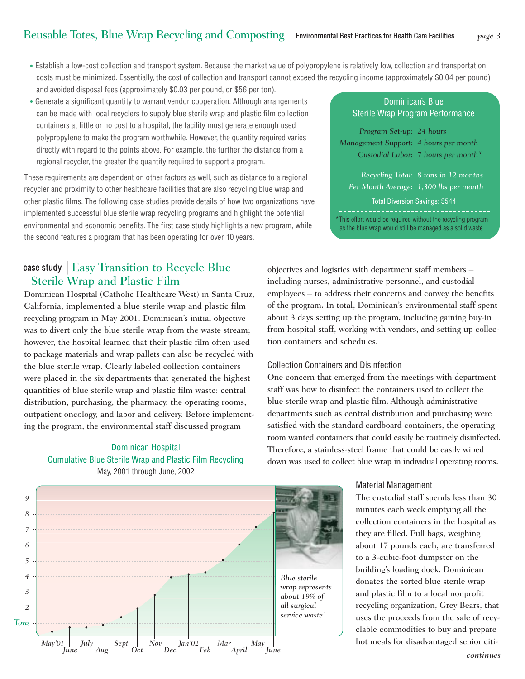- Establish a low-cost collection and transport system. Because the market value of polypropylene is relatively low, collection and transportation costs must be minimized. Essentially, the cost of collection and transport cannot exceed the recycling income (approximately \$0.04 per pound) and avoided disposal fees (approximately \$0.03 per pound, or \$56 per ton).
- Generate a significant quantity to warrant vendor cooperation. Although arrangements can be made with local recyclers to supply blue sterile wrap and plastic film collection containers at little or no cost to a hospital, the facility must generate enough used polypropylene to make the program worthwhile. However, the quantity required varies directly with regard to the points above. For example, the further the distance from a regional recycler, the greater the quantity required to support a program.

These requirements are dependent on other factors as well, such as distance to a regional recycler and proximity to other healthcare facilities that are also recycling blue wrap and other plastic films. The following case studies provide details of how two organizations have implemented successful blue sterile wrap recycling programs and highlight the potential environmental and economic benefits. The first case study highlights a new program, while the second features a program that has been operating for over 10 years.

# case study case study | Easy Transition to Recycle Blue Sterile Wrap and Plastic Film

Dominican Hospital (Catholic Healthcare West) in Santa Cruz, California, implemented a blue sterile wrap and plastic film recycling program in May 2001. Dominican's initial objective was to divert only the blue sterile wrap from the waste stream; however, the hospital learned that their plastic film often used to package materials and wrap pallets can also be recycled with the blue sterile wrap. Clearly labeled collection containers were placed in the six departments that generated the highest quantities of blue sterile wrap and plastic film waste: central distribution, purchasing, the pharmacy, the operating rooms, outpatient oncology, and labor and delivery. Before implement ing the program, the environmental staff discussed program

## Dominican Hospital Cumulative Blue Sterile Wrap and Plastic Film Recycling May, 2001 through June, 2002



| <b>Dominican's Blue</b><br>Sterile Wrap Program Performance                                                               |                                                                                |  |
|---------------------------------------------------------------------------------------------------------------------------|--------------------------------------------------------------------------------|--|
| Program Set-up: 24 hours<br>Management Support: 4 hours per month                                                         | Custodial Labor: 7 hours per month*                                            |  |
| <b>Total Diversion Savings: \$544</b>                                                                                     | Recycling Total: 8 tons in 12 months<br>Per Month Average: 1,300 lbs per month |  |
| *This effort would be required without the recycling program<br>as the blue wrap would still be managed as a solid waste. |                                                                                |  |

objectives and logistics with department staff members – including nurses, administrative personnel, and custodial employees – to address their concerns and convey the benefits of the program. In total, Dominican's environmental staff spent about 3 days setting up the program, including gaining buy-in from hospital staff, working with vendors, and setting up collection containers and schedules.

#### Collection Containers and Disinfection

One concern that emerged from the meetings with department staff was how to disinfect the containers used to collect the blue sterile wrap and plastic film. Although administrative departments such as central distribution and purchasing were satisfied with the standard cardboard containers, the operating room wanted containers that could easily be routinely disinfected. Therefore, a stainless-steel frame that could be easily wiped down was used to collect blue wrap in individual operating rooms.

#### Material Management

The custodial staff spends less than 30 minutes each week emptying all the collection containers in the hospital as they are filled. Full bags, weighing about 17 pounds each, are transferred to a 3-cubic-foot dumpster on the building's loading dock. Dominican donates the sorted blue sterile wrap and plastic film to a local nonprofit recycling organization, Grey Bears, that uses the proceeds from the sale of recyclable commodities to buy and prepare hot meals for disadvantaged senior citi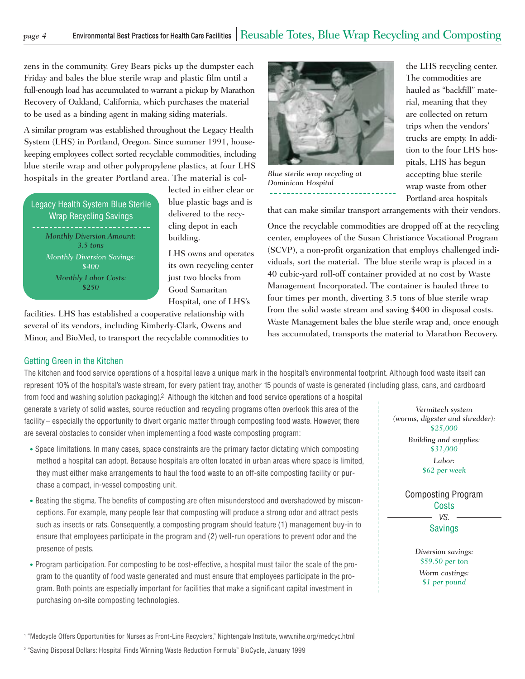zens in the community. Grey Bears picks up the dumpster each Friday and bales the blue sterile wrap and plastic film until a full-enough load has accumulated to warrant a pickup by Marathon Recovery of Oakland, California, which purchases the material to be used as a binding agent in making siding materials.

A similar program was established throughout the Legacy Health System (LHS) in Portland, Oregon. Since summer 1991, housekeeping employees collect sorted recyclable commodities, including blue sterile wrap and other polypropylene plastics, at four LHS hospitals in the greater Portland area. The material is col- *Blue sterile wrap recycling at* 

*3.5 tons Monthly Diversion Savings: \$400 Monthly Labor Costs: \$250*  Legacy Health System Blue Sterile Wrap Recycling Savings *Monthly Diversion Amount:* 

lected in either clear or blue plastic bags and is delivered to the recycling depot in each building.

LHS owns and operates its own recycling center just two blocks from Good Samaritan Hospital, one of LHS's

facilities. LHS has established a cooperative relationship with several of its vendors, including Kimberly-Clark, Owens and Minor, and BioMed, to transport the recyclable commodities to



*Dominican Hospital* 

the LHS recycling center. The commodities are hauled as "backfill" material, meaning that they are collected on return trips when the vendors' trucks are empty. In addition to the four LHS hospitals, LHS has begun accepting blue sterile wrap waste from other Portland-area hospitals

that can make similar transport arrangements with their vendors.

Once the recyclable commodities are dropped off at the recycling center, employees of the Susan Christiance Vocational Program (SCVP), a non-profit organization that employs challenged individuals, sort the material. The blue sterile wrap is placed in a 40 cubic-yard roll-off container provided at no cost by Waste Management Incorporated. The container is hauled three to four times per month, diverting 3.5 tons of blue sterile wrap from the solid waste stream and saving \$400 in disposal costs. Waste Management bales the blue sterile wrap and, once enough has accumulated, transports the material to Marathon Recovery.

#### Getting Green in the Kitchen

The kitchen and food service operations of a hospital leave a unique mark in the hospital's environmental footprint. Although food waste itself can represent 10% of the hospital's waste stream, for every patient tray, another 15 pounds of waste is generated (including glass, cans, and cardboard

from food and washing solution packaging).2 Although the kitchen and food service operations of a hospital generate a variety of solid wastes, source reduction and recycling programs often overlook this area of the facility– especially the opportunity to divert organic matter through composting food waste. However, there are several obstacles to consider when implementing a food waste composting program:

- Space limitations. In many cases, space constraints are the primary factor dictating which composting method a hospital can adopt. Because hospitals are often located in urban areas where space is limited, they must either make arrangements to haul the food waste to an off-site composting facility or pur chase a compact, in-vessel composting unit.
- Beating the stigma. The benefits of composting are often misunderstood and overshadowed by miscon ceptions. For example, many people fear that composting will produce a strong odor and attract pests such as insects or rats. Consequently, a composting program should feature (1) management buy-in to ensure that employees participate in the program and (2) well-run operations to prevent odor and the presence of pests.
- Program participation. For composting to be cost-effective, a hospital must tailor the scale of the pro gram to the quantity of food waste generated and must ensure that employees participate in the pro gram. Both points are especially important for facilities that make a significant capital investment in purchasing on-site composting technologies.

*Vermitech system (worms, digester and shredder): \$25,000* 

*Building and supplies: \$31,000* 

*Labor: \$62 per week* 

Composting Program **Costs** VS. Savings

> *Diversion savings: \$59.50 per ton Worm castings: \$1 per pound*

1 "Medcycle Offers Opportunities for Nurses as Front-Line Recyclers," Nightengale Institute, www.nihe.org/medcyc.html

2 "Saving Disposal Dollars: Hospital Finds Winning Waste Reduction Formula" BioCycle, January 1999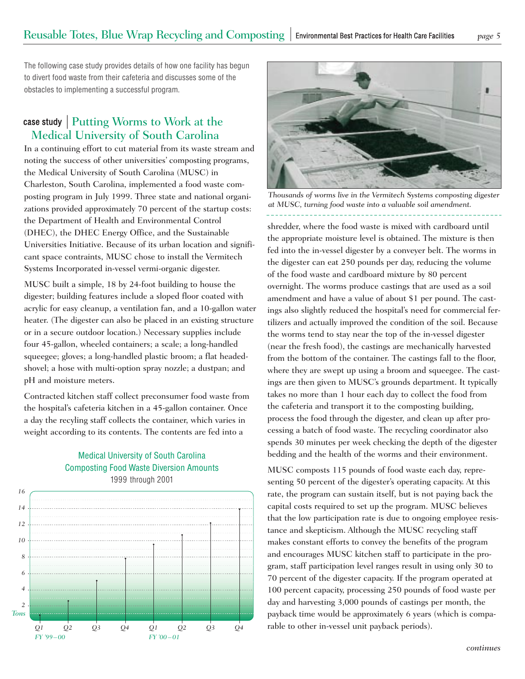The following case study provides details of how one facility has begun to divert food waste from their cafeteria and discusses some of the obstacles to implementing a successful program.

## case study case study | Putting Worms to Work at the Medical University of South Carolina

In a continuing effort to cut material from its waste stream and noting the success of other universities' composting programs, the Medical University of South Carolina (MUSC) in Charleston, South Carolina, implemented a food waste composting program in July 1999. Three state and national organizations provided approximately 70 percent of the startup costs: the Department of Health and Environmental Control (DHEC), the DHEC Energy Office, and the Sustainable Universities Initiative. Because of its urban location and significant space contraints, MUSC chose to install the Vermitech Systems Incorporated in-vessel vermi-organic digester.

MUSC built a simple, 18 by 24-foot building to house the digester; building features include a sloped floor coated with acrylic for easy cleanup, a ventilation fan, and a 10-gallon water heater. (The digester can also be placed in an existing structure or in a secure outdoor location.) Necessary supplies include four 45-gallon, wheeled containers; a scale; a long-handled squeegee; gloves; a long-handled plastic broom; a flat headedshovel; a hose with multi-option spray nozzle; a dustpan; and pH and moisture meters.

Contracted kitchen staff collect preconsumer food waste from the hospital's cafeteria kitchen in a 45-gallon container. Once a day the recyling staff collects the container, which varies in weight according to its contents. The contents are fed into a

### Medical University of South Carolina Composting Food Waste Diversion Amounts 1999 through 2001





*Thousands of worms live in the Vermitech Systems composting digester at MUSC, turning food waste into a valuable soil amendment.* 

shredder, where the food waste is mixed with cardboard until the appropriate moisture level is obtained. The mixture is then fed into the in-vessel digester by a conveyer belt. The worms in the digester can eat 250 pounds per day, reducing the volume of the food waste and cardboard mixture by 80 percent overnight. The worms produce castings that are used as a soil amendment and have a value of about \$1 per pound. The castings also slightly reduced the hospital's need for commercial fertilizers and actually improved the condition of the soil. Because the worms tend to stay near the top of the in-vessel digester (near the fresh food), the castings are mechanically harvested from the bottom of the container. The castings fall to the floor, where they are swept up using a broom and squeegee. The castings are then given to MUSC's grounds department. It typically takes no more than 1 hour each day to collect the food from the cafeteria and transport it to the composting building, process the food through the digester, and clean up after processing a batch of food waste. The recycling coordinator also spends 30 minutes per week checking the depth of the digester bedding and the health of the worms and their environment.

MUSC composts 115 pounds of food waste each day, representing 50 percent of the digester's operating capacity. At this rate, the program can sustain itself, but is not paying back the capital costs required to set up the program. MUSC believes that the low participation rate is due to ongoing employee resistance and skepticism. Although the MUSC recycling staff makes constant efforts to convey the benefits of the program and encourages MUSC kitchen staff to participate in the program, staff participation level ranges result in using only 30 to 70 percent of the digester capacity. If the program operated at 100 percent capacity, processing 250 pounds of food waste per day and harvesting 3,000 pounds of castings per month, the payback time would be approximately 6 years (which is comparable to other in-vessel unit payback periods).